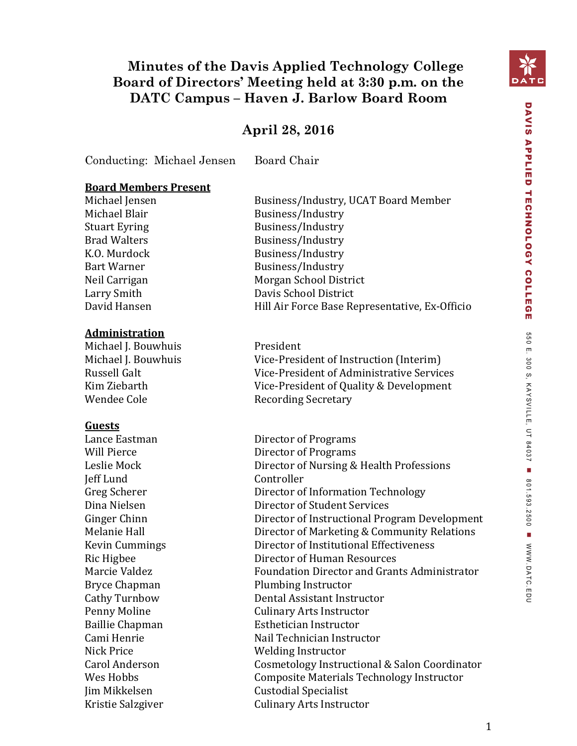## **Minutes of the Davis Applied Technology College Board of Directors' Meeting held at 3:30 p.m. on the DATC Campus – Haven J. Barlow Board Room**

## **April 28, 2016**

Conducting: Michael Jensen Board Chair

#### **Board Members Present**

#### **Administration**

Michael J. Bouwhuis President Wendee Cole **Recording Secretary** 

#### **Guests**

Jeff Lund Controller

Michael Jensen Business/Industry, UCAT Board Member Michael Blair Business/Industry Stuart Eyring Business/Industry Brad Walters Business/Industry K.O. Murdock Business/Industry Bart Warner Business/Industry Neil Carrigan Morgan School District Larry Smith Davis School District David Hansen Hill Air Force Base Representative, Ex-Officio

Michael J. Bouwhuis Vice-President of Instruction (Interim) Russell Galt Vice-President of Administrative Services Kim Ziebarth Vice-President of Quality & Development

Lance Eastman Director of Programs Will Pierce Director of Programs Leslie Mock Director of Nursing & Health Professions Greg Scherer **Director of Information Technology** Dina Nielsen Director of Student Services Ginger Chinn **Director of Instructional Program Development** Melanie Hall Director of Marketing & Community Relations Kevin Cummings Director of Institutional Effectiveness Ric Higbee Director of Human Resources Marcie Valdez **Foundation Director and Grants Administrator** Foundation Director and Grants Administrator Bryce Chapman Plumbing Instructor Cathy Turnbow Dental Assistant Instructor Penny Moline **Culinary Arts Instructor** Baillie Chapman **Esthetician Instructor** Cami Henrie **Nail Technician Instructor** Nick Price Welding Instructor Carol Anderson Cosmetology Instructional & Salon Coordinator Wes Hobbs Composite Materials Technology Instructor Jim Mikkelsen Custodial Specialist Kristie Salzgiver **Culinary Arts Instructor** 

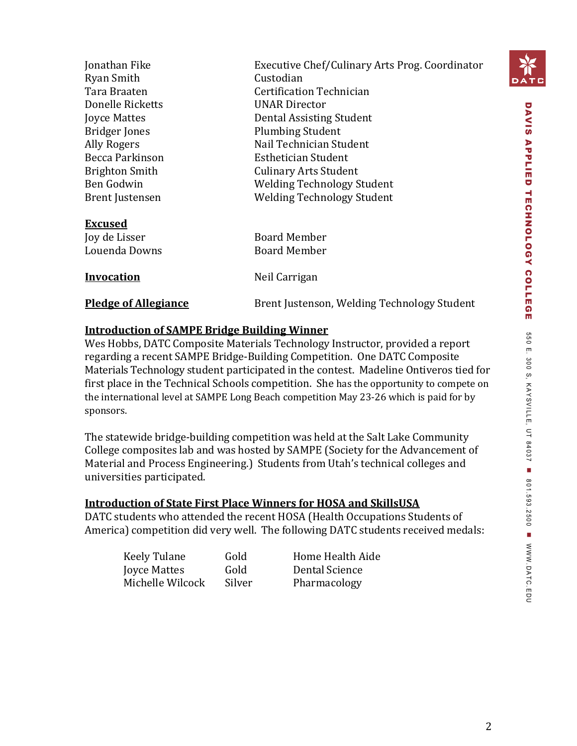

| Jonathan Fike<br>Ryan Smith<br>Tara Braaten<br>Donelle Ricketts<br><b>Joyce Mattes</b><br><b>Bridger Jones</b><br>Ally Rogers<br>Becca Parkinson | Executive Chef/Culinary Arts Prog. Coordinator<br>Custodian<br>Certification Technician<br><b>UNAR Director</b><br>Dental Assisting Student<br><b>Plumbing Student</b><br>Nail Technician Student<br>Esthetician Student |
|--------------------------------------------------------------------------------------------------------------------------------------------------|--------------------------------------------------------------------------------------------------------------------------------------------------------------------------------------------------------------------------|
| <b>Brighton Smith</b><br>Ben Godwin                                                                                                              | <b>Culinary Arts Student</b><br><b>Welding Technology Student</b>                                                                                                                                                        |
| <b>Brent Justensen</b><br><b>Excused</b>                                                                                                         | <b>Welding Technology Student</b>                                                                                                                                                                                        |
| Joy de Lisser                                                                                                                                    | <b>Board Member</b>                                                                                                                                                                                                      |
| Louenda Downs                                                                                                                                    | <b>Board Member</b>                                                                                                                                                                                                      |
| <b>Invocation</b>                                                                                                                                | Neil Carrigan                                                                                                                                                                                                            |
| <b>Pledge of Allegiance</b>                                                                                                                      | Brent Justenson, Welding Technology Student                                                                                                                                                                              |
|                                                                                                                                                  |                                                                                                                                                                                                                          |

#### **Introduction of SAMPE Bridge Building Winner**

Wes Hobbs, DATC Composite Materials Technology Instructor, provided a report regarding a recent SAMPE Bridge-Building Competition. One DATC Composite Materials Technology student participated in the contest. Madeline Ontiveros tied for first place in the Technical Schools competition. She has the opportunity to compete on the international level at SAMPE Long Beach competition May 23-26 which is paid for by sponsors.

The statewide bridge-building competition was held at the Salt Lake Community College composites lab and was hosted by SAMPE (Society for the Advancement of Material and Process Engineering.) Students from Utah's technical colleges and universities participated.

#### **Introduction of State First Place Winners for HOSA and SkillsUSA**

DATC students who attended the recent HOSA (Health Occupations Students of America) competition did very well. The following DATC students received medals:

| Keely Tulane     | Gold  |
|------------------|-------|
| Joyce Mattes     | Gold  |
| Michelle Wilcock | Silve |

Home Health Aide Dental Science r Pharmacology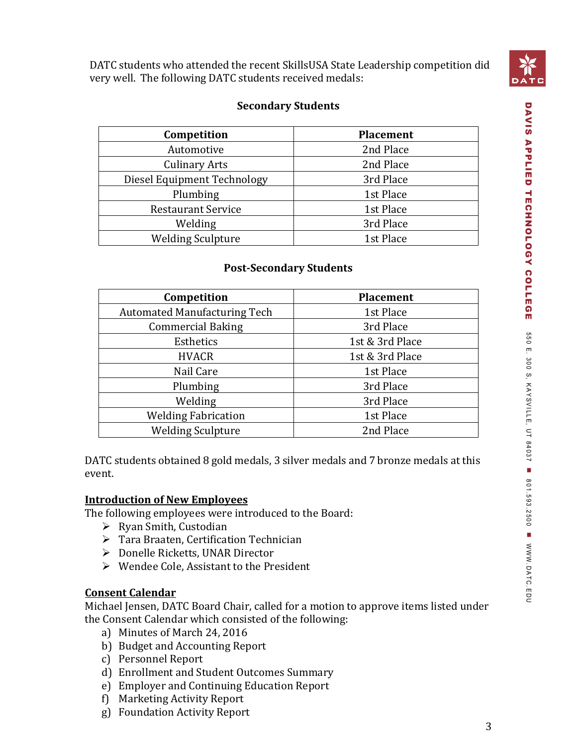

DATC students who attended the recent SkillsUSA State Leadership competition did very well. The following DATC students received medals:

#### **Secondary Students**

| Competition                 | <b>Placement</b> |
|-----------------------------|------------------|
| Automotive                  | 2nd Place        |
| <b>Culinary Arts</b>        | 2nd Place        |
| Diesel Equipment Technology | 3rd Place        |
| Plumbing                    | 1st Place        |
| <b>Restaurant Service</b>   | 1st Place        |
| Welding                     | 3rd Place        |
| <b>Welding Sculpture</b>    | 1st Place        |

#### **Post-Secondary Students**

| Competition                         | <b>Placement</b> |
|-------------------------------------|------------------|
| <b>Automated Manufacturing Tech</b> | 1st Place        |
| <b>Commercial Baking</b>            | 3rd Place        |
| Esthetics                           | 1st & 3rd Place  |
| <b>HVACR</b>                        | 1st & 3rd Place  |
| Nail Care                           | 1st Place        |
| Plumbing                            | 3rd Place        |
| Welding                             | 3rd Place        |
| <b>Welding Fabrication</b>          | 1st Place        |
| <b>Welding Sculpture</b>            | 2nd Place        |

DATC students obtained 8 gold medals, 3 silver medals and 7 bronze medals at this event.

#### **Introduction of New Employees**

The following employees were introduced to the Board:

- $\triangleright$  Ryan Smith, Custodian
- Tara Braaten, Certification Technician
- Donelle Ricketts, UNAR Director
- Wendee Cole, Assistant to the President

#### **Consent Calendar**

Michael Jensen, DATC Board Chair, called for a motion to approve items listed under the Consent Calendar which consisted of the following:

- a) Minutes of March 24, 2016
- b) Budget and Accounting Report
- c) Personnel Report
- d) Enrollment and Student Outcomes Summary
- e) Employer and Continuing Education Report
- f) Marketing Activity Report
- g) Foundation Activity Report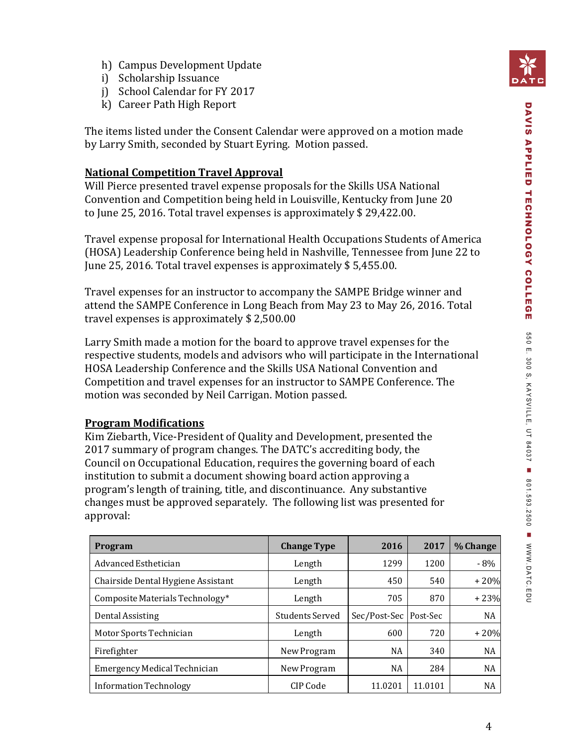- h) Campus Development Update
- i) Scholarship Issuance
- j) School Calendar for FY 2017
- k) Career Path High Report

The items listed under the Consent Calendar were approved on a motion made by Larry Smith, seconded by Stuart Eyring. Motion passed.

#### **National Competition Travel Approval**

Will Pierce presented travel expense proposals for the Skills USA National Convention and Competition being held in Louisville, Kentucky from June 20 to June 25, 2016. Total travel expenses is approximately \$ 29,422.00.

Travel expense proposal for International Health Occupations Students of America (HOSA) Leadership Conference being held in Nashville, Tennessee from June 22 to June 25, 2016. Total travel expenses is approximately \$ 5,455.00.

Travel expenses for an instructor to accompany the SAMPE Bridge winner and attend the SAMPE Conference in Long Beach from May 23 to May 26, 2016. Total travel expenses is approximately \$ 2,500.00

Larry Smith made a motion for the board to approve travel expenses for the respective students, models and advisors who will participate in the International HOSA Leadership Conference and the Skills USA National Convention and Competition and travel expenses for an instructor to SAMPE Conference. The motion was seconded by Neil Carrigan. Motion passed.

#### **Program Modifications**

Kim Ziebarth, Vice-President of Quality and Development, presented the 2017 summary of program changes. The DATC's accrediting body, the Council on Occupational Education, requires the governing board of each institution to submit a document showing board action approving a program's length of training, title, and discontinuance. Any substantive changes must be approved separately. The following list was presented for approval:

| <b>Program</b>                      | <b>Change Type</b>     | 2016         | 2017     | % Change  |
|-------------------------------------|------------------------|--------------|----------|-----------|
| Advanced Esthetician                | Length                 | 1299         | 1200     | $-8\%$    |
| Chairside Dental Hygiene Assistant  | Length                 | 450          | 540      | $+20%$    |
| Composite Materials Technology*     | Length                 | 705          | 870      | $+23%$    |
| Dental Assisting                    | <b>Students Served</b> | Sec/Post-Sec | Post-Sec | <b>NA</b> |
| Motor Sports Technician             | Length                 | 600          | 720      | $+20%$    |
| Firefighter                         | New Program            | NA           | 340      | <b>NA</b> |
| <b>Emergency Medical Technician</b> | New Program            | NA           | 284      | NA        |
| Information Technology              | CIP Code               | 11.0201      | 11.0101  | NA        |

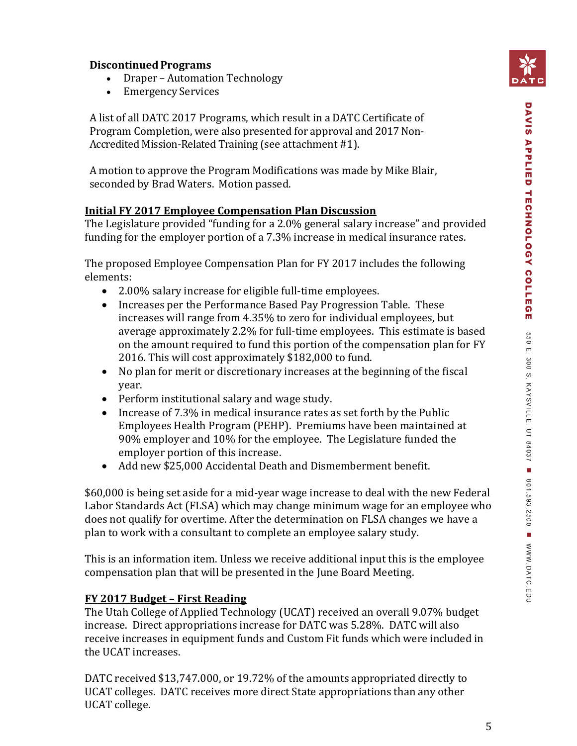#### **DiscontinuedPrograms**

- Draper Automation Technology
- Emergency Services

A list of all DATC 2017 Programs, which result in a DATC Certificate of Program Completion, were also presented for approval and 2017 Non-Accredited Mission-Related Training (see attachment #1).

A motion to approve the Program Modifications was made by Mike Blair, seconded by Brad Waters. Motion passed.

### **Initial FY 2017 Employee Compensation Plan Discussion**

The Legislature provided "funding for a 2.0% general salary increase" and provided funding for the employer portion of a 7.3% increase in medical insurance rates.

The proposed Employee Compensation Plan for FY 2017 includes the following elements:

- 2.00% salary increase for eligible full-time employees.
- Increases per the Performance Based Pay Progression Table. These increases will range from 4.35% to zero for individual employees, but average approximately 2.2% for full-time employees. This estimate is based on the amount required to fund this portion of the compensation plan for FY 2016. This will cost approximately \$182,000 to fund.
- No plan for merit or discretionary increases at the beginning of the fiscal year.
- Perform institutional salary and wage study.
- Increase of 7.3% in medical insurance rates as set forth by the Public Employees Health Program (PEHP). Premiums have been maintained at 90% employer and 10% for the employee. The Legislature funded the employer portion of this increase.
- Add new \$25,000 Accidental Death and Dismemberment benefit.

\$60,000 is being set aside for a mid-year wage increase to deal with the new Federal Labor Standards Act (FLSA) which may change minimum wage for an employee who does not qualify for overtime. After the determination on FLSA changes we have a plan to work with a consultant to complete an employee salary study.

This is an information item. Unless we receive additional input this is the employee compensation plan that will be presented in the June Board Meeting.

### **FY 2017 Budget – First Reading**

The Utah College of Applied Technology (UCAT) received an overall 9.07% budget increase. Direct appropriations increase for DATC was 5.28%. DATC will also receive increases in equipment funds and Custom Fit funds which were included in the UCAT increases.

DATC received \$13,747.000, or 19.72% of the amounts appropriated directly to UCAT colleges. DATC receives more direct State appropriations than any other UCAT college.

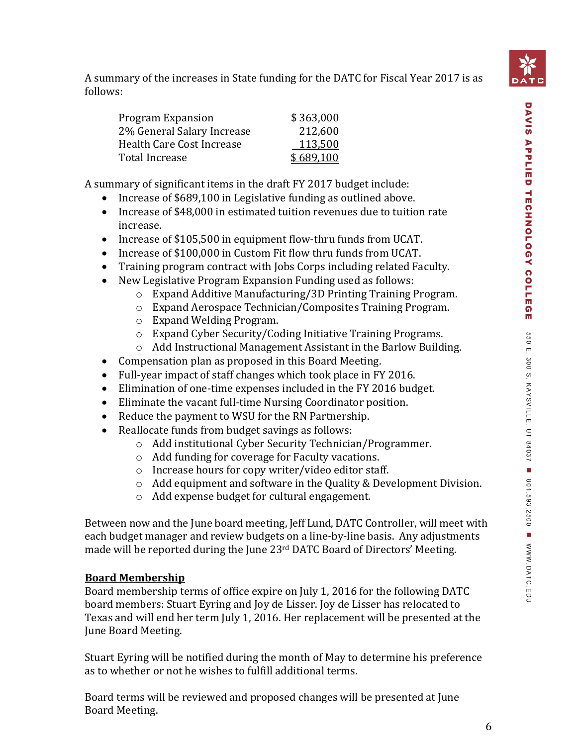

| <b>Program Expansion</b>   | \$363,000 |
|----------------------------|-----------|
| 2% General Salary Increase | 212,600   |
| Health Care Cost Increase  | 113,500   |
| Total Increase             | \$689,100 |

A summary of significant items in the draft FY 2017 budget include:

- Increase of \$689,100 in Legislative funding as outlined above.
- Increase of \$48,000 in estimated tuition revenues due to tuition rate increase.
- Increase of \$105,500 in equipment flow-thru funds from UCAT.
- Increase of \$100,000 in Custom Fit flow thru funds from UCAT.
- Training program contract with Jobs Corps including related Faculty.
- New Legislative Program Expansion Funding used as follows:
	- o Expand Additive Manufacturing/3D Printing Training Program.
	- o Expand Aerospace Technician/Composites Training Program.
	- o Expand Welding Program.
	- o Expand Cyber Security/Coding Initiative Training Programs.
	- o Add Instructional Management Assistant in the Barlow Building.
- Compensation plan as proposed in this Board Meeting.
- Full-year impact of staff changes which took place in FY 2016.
- Elimination of one-time expenses included in the FY 2016 budget.
- Eliminate the vacant full-time Nursing Coordinator position.
- Reduce the payment to WSU for the RN Partnership.
- Reallocate funds from budget savings as follows:
	- o Add institutional Cyber Security Technician/Programmer.
	- o Add funding for coverage for Faculty vacations.
	- o Increase hours for copy writer/video editor staff.
	- o Add equipment and software in the Quality & Development Division.
	- o Add expense budget for cultural engagement.

Between now and the June board meeting, Jeff Lund, DATC Controller, will meet with each budget manager and review budgets on a line-by-line basis. Any adjustments made will be reported during the June 23<sup>rd</sup> DATC Board of Directors' Meeting.

### **Board Membership**

Board membership terms of office expire on July 1, 2016 for the following DATC board members: Stuart Eyring and Joy de Lisser. Joy de Lisser has relocated to Texas and will end her term July 1, 2016. Her replacement will be presented at the June Board Meeting.

Stuart Eyring will be notified during the month of May to determine his preference as to whether or not he wishes to fulfill additional terms.

Board terms will be reviewed and proposed changes will be presented at June Board Meeting.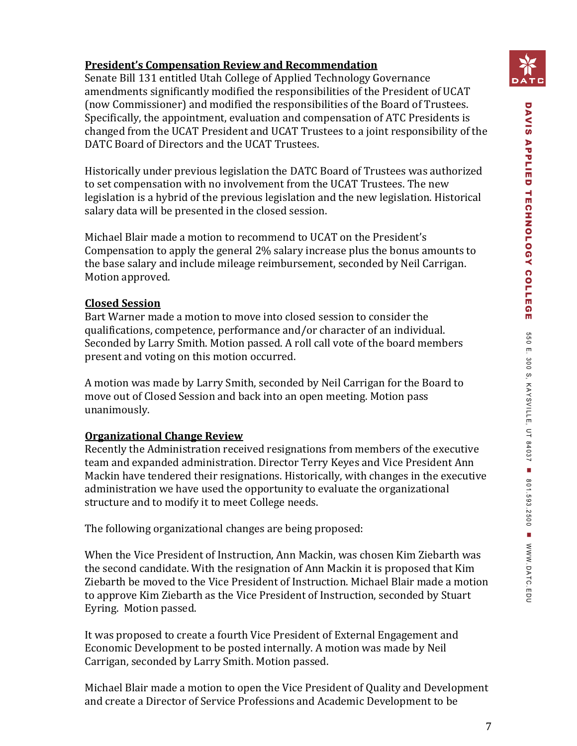## **President's Compensation Review and Recommendation**

Senate Bill 131 entitled Utah College of Applied Technology Governance amendments significantly modified the responsibilities of the President of UCAT (now Commissioner) and modified the responsibilities of the Board of Trustees. Specifically, the appointment, evaluation and compensation of ATC Presidents is changed from the UCAT President and UCAT Trustees to a joint responsibility of the DATC Board of Directors and the UCAT Trustees.

Historically under previous legislation the DATC Board of Trustees was authorized to set compensation with no involvement from the UCAT Trustees. The new legislation is a hybrid of the previous legislation and the new legislation. Historical salary data will be presented in the closed session.

Michael Blair made a motion to recommend to UCAT on the President's Compensation to apply the general 2% salary increase plus the bonus amounts to the base salary and include mileage reimbursement, seconded by Neil Carrigan. Motion approved.

#### **Closed Session**

Bart Warner made a motion to move into closed session to consider the qualifications, competence, performance and/or character of an individual. Seconded by Larry Smith. Motion passed. A roll call vote of the board members present and voting on this motion occurred.

A motion was made by Larry Smith, seconded by Neil Carrigan for the Board to move out of Closed Session and back into an open meeting. Motion pass unanimously.

#### **Organizational Change Review**

Recently the Administration received resignations from members of the executive team and expanded administration. Director Terry Keyes and Vice President Ann Mackin have tendered their resignations. Historically, with changes in the executive administration we have used the opportunity to evaluate the organizational structure and to modify it to meet College needs.

The following organizational changes are being proposed:

When the Vice President of Instruction, Ann Mackin, was chosen Kim Ziebarth was the second candidate. With the resignation of Ann Mackin it is proposed that Kim Ziebarth be moved to the Vice President of Instruction. Michael Blair made a motion to approve Kim Ziebarth as the Vice President of Instruction, seconded by Stuart Eyring. Motion passed.

It was proposed to create a fourth Vice President of External Engagement and Economic Development to be posted internally. A motion was made by Neil Carrigan, seconded by Larry Smith. Motion passed.

Michael Blair made a motion to open the Vice President of Quality and Development and create a Director of Service Professions and Academic Development to be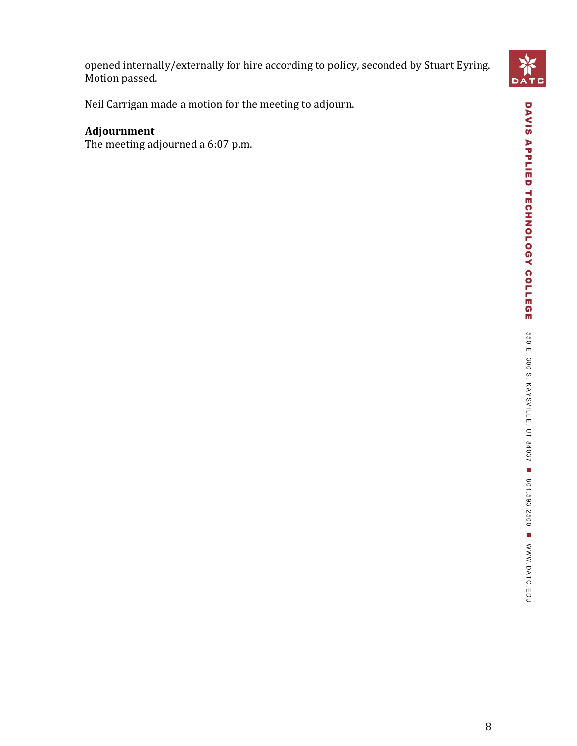

Neil Carrigan made a motion for the meeting to adjourn.

## **Adjournment**

The meeting adjourned a 6:07 p.m.

DATC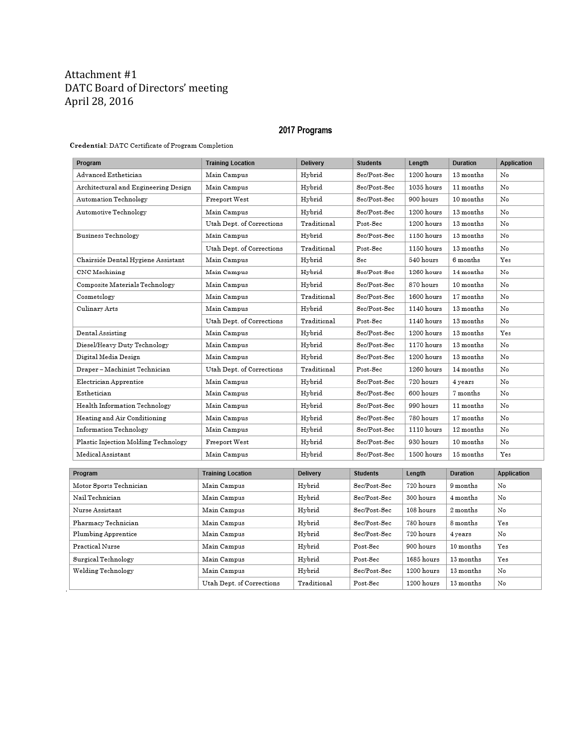#### Attachment #1 DATC Board of Directors' meeting April 28, 2016

#### 2017 Programs

#### Credential: DATC Certificate of Program Completion

| Program                              | <b>Training Location</b>  | <b>Delivery</b> | <b>Students</b> | Length       | <b>Duration</b> | <b>Application</b> |
|--------------------------------------|---------------------------|-----------------|-----------------|--------------|-----------------|--------------------|
| Advanced Esthetician                 | Main Campus               | Hybrid          | Sec/Post-Sec    | 1200 hours   | 13 months       | No                 |
| Architectural and Engineering Design | Main Campus               | Hybrid          | Sec/Post-Sec    | $1035$ hours | 11 months       | No                 |
| Automation Technology                | Freeport West             | Hybrid          | Sec/Post-Sec    | 900 hours    | 10 months       | No                 |
| Automotive Technology                | Main Campus               | Hybrid          | Sec/Post-Sec    | 1200 hours   | 13 months       | No                 |
|                                      | Utah Dept. of Corrections | Traditional     | Post-Sec        | $1200$ hours | 13 months       | No                 |
| Business Technology                  | Main Campus               | Hybrid          | Sec/Post-Sec    | 1150 hours   | 13 months       | No                 |
|                                      | Utah Dept. of Corrections | Traditional     | Post-Sec        | 1150 hours   | 13 months       | No                 |
| Chairside Dental Hygiene Assistant   | Main Campus               | Hybrid          | Sec             | 540 hours    | 6 months        | Yes                |
| CNC Machining                        | Main Campus               | Hybrid          | Sec/Post-Sec    | 1260 hours   | 14 months       | No                 |
| Composite Materials Technology       | Main Campus               | Hybrid          | Sec/Post-Sec    | 870 hours    | 10 months       | No                 |
| Cosmetology                          | Main Campus               | Traditional     | Sec/Post-Sec    | 1600 hours   | 17 months       | No                 |
| Culinary Arts                        | Main Campus               | Hybrid          | Sec/Post-Sec    | 1140 hours   | 13 months       | No                 |
|                                      | Utah Dept. of Corrections | Traditional     | Post-Sec        | 1140 hours   | 13 months       | No                 |
| Dental Assisting                     | Main Campus               | Hybrid          | Sec/Post-Sec    | 1200 hours   | 13 months       | Yes                |
| Diesel/Heavy Duty Technology         | Main Campus               | Hybrid          | Sec/Post-Sec    | 1170 hours   | 13 months       | No                 |
| Digital Media Design                 | Main Campus               | Hybrid          | Sec/Post-Sec    | 1200 hours   | 13 months       | No                 |
| Draper – Machinist Technician        | Utah Dept. of Corrections | Traditional     | Post-Sec        | 1260 hours   | 14 months       | No                 |
| Electrician Apprentice               | Main Campus               | Hybrid          | Sec/Post-Sec    | 720 hours    | 4 years         | No                 |
| Esthetician                          | Main Campus               | Hybrid          | Sec/Post-Sec    | 600 hours    | 7 months        | No                 |
| Health Information Technology        | Main Campus               | Hybrid          | Sec/Post-Sec    | 990 hours    | 11 months       | No                 |
| Heating and Air Conditioning         | Main Campus               | Hybrid          | Sec/Post-Sec    | 780 hours    | 17 months       | No                 |
| Information Technology               | Main Campus               | Hybrid          | Sec/Post-Sec    | 1110 hours   | 12 months       | No                 |
| Plastic Injection Molding Technology | Freeport West             | Hybrid          | Sec/Post-Sec    | 930 hours    | 10 months       | No                 |
| Medical Assistant                    | Main Campus               | Hybrid          | Sec/Post-Sec    | 1500 hours   | 15 months       | Yes                |
|                                      |                           |                 |                 |              |                 |                    |
| Program                              | <b>Training Location</b>  | <b>Delivery</b> | <b>Students</b> | Length       | <b>Duration</b> | <b>Application</b> |
| Motor Sports Technician              | Main Campus               | Hybrid          | Sec/Post-Sec    | 720 hours    | 9 months        | No                 |
| Nail Technician                      | Main Campus               | Hybrid          | Sec/Post-Sec    | 300 hours    | 4 months        | No                 |
| Nurse Assistant                      | Main Campus               | Hybrid          | Sec/Post-Sec    | 108 hours    | 2 months        | No                 |
| Pharmacy Technician                  | Main Campus               | Hybrid          | Sec/Post-Sec    | 780 hours    | 8 months        | Yes                |
| Plumbing Apprentice                  | Main Campus               | Hybrid          | Sec/Post-Sec    | 720 hours    | 4 years         | No                 |
| Practical Nurse                      | Main Campus               | Hybrid          | Post-Sec        | 900 hours    | 10 months       | Yes                |
| Surgical Technology                  | Main Campus               | Hybrid          | Post-Sec        | 1685 hours   | 13 months       | Yes                |
| Welding Technology                   | Main Campus               | Hybrid          | Sec/Post-Sec    | 1200 hours   | 13 months       | No                 |
|                                      | Utah Dept. of Corrections | Traditional     | Post-Sec        | 1200 hours   | 13 months       | No                 |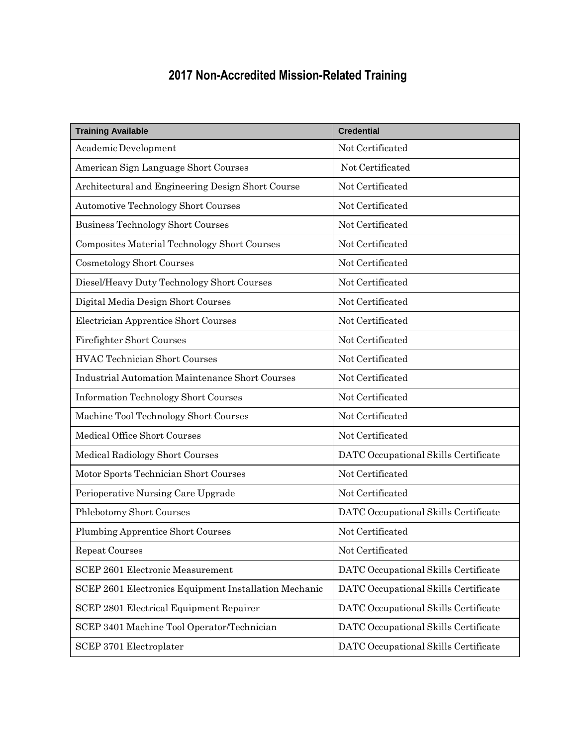# **2017 Non-Accredited Mission-Related Training**

| <b>Training Available</b>                              | <b>Credential</b>                    |
|--------------------------------------------------------|--------------------------------------|
| Academic Development                                   | Not Certificated                     |
| American Sign Language Short Courses                   | Not Certificated                     |
| Architectural and Engineering Design Short Course      | Not Certificated                     |
| <b>Automotive Technology Short Courses</b>             | Not Certificated                     |
| <b>Business Technology Short Courses</b>               | Not Certificated                     |
| Composites Material Technology Short Courses           | Not Certificated                     |
| <b>Cosmetology Short Courses</b>                       | Not Certificated                     |
| Diesel/Heavy Duty Technology Short Courses             | Not Certificated                     |
| Digital Media Design Short Courses                     | Not Certificated                     |
| Electrician Apprentice Short Courses                   | Not Certificated                     |
| <b>Firefighter Short Courses</b>                       | Not Certificated                     |
| <b>HVAC Technician Short Courses</b>                   | Not Certificated                     |
| <b>Industrial Automation Maintenance Short Courses</b> | Not Certificated                     |
| <b>Information Technology Short Courses</b>            | Not Certificated                     |
| Machine Tool Technology Short Courses                  | Not Certificated                     |
| Medical Office Short Courses                           | Not Certificated                     |
| Medical Radiology Short Courses                        | DATC Occupational Skills Certificate |
| Motor Sports Technician Short Courses                  | Not Certificated                     |
| Perioperative Nursing Care Upgrade                     | Not Certificated                     |
| Phlebotomy Short Courses                               | DATC Occupational Skills Certificate |
| <b>Plumbing Apprentice Short Courses</b>               | Not Certificated                     |
| <b>Repeat Courses</b>                                  | Not Certificated                     |
| <b>SCEP 2601 Electronic Measurement</b>                | DATC Occupational Skills Certificate |
| SCEP 2601 Electronics Equipment Installation Mechanic  | DATC Occupational Skills Certificate |
| SCEP 2801 Electrical Equipment Repairer                | DATC Occupational Skills Certificate |
| SCEP 3401 Machine Tool Operator/Technician             | DATC Occupational Skills Certificate |
| SCEP 3701 Electroplater                                | DATC Occupational Skills Certificate |